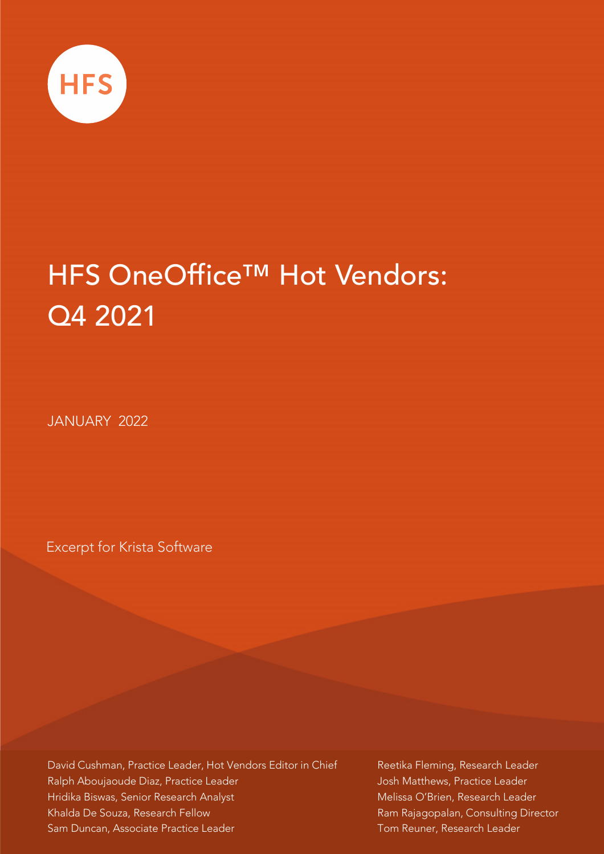

# HFS OneOffice™ Hot Vendors: Q4 2021

JANUARY 2022

Excerpt for Krista Software

David Cushman, Practice Leader, Hot Vendors Editor in Chief Ralph Aboujaoude Diaz, Practice Leader Hridika Biswas, Senior Research Analyst Khalda De Souza, Research Fellow Sam Duncan, Associate Practice Leader

Reetika Fleming, Research Leader Josh Matthews, Practice Leader Melissa O'Brien, Research Leader Ram Rajagopalan, Consulting Director Tom Reuner, Research Leader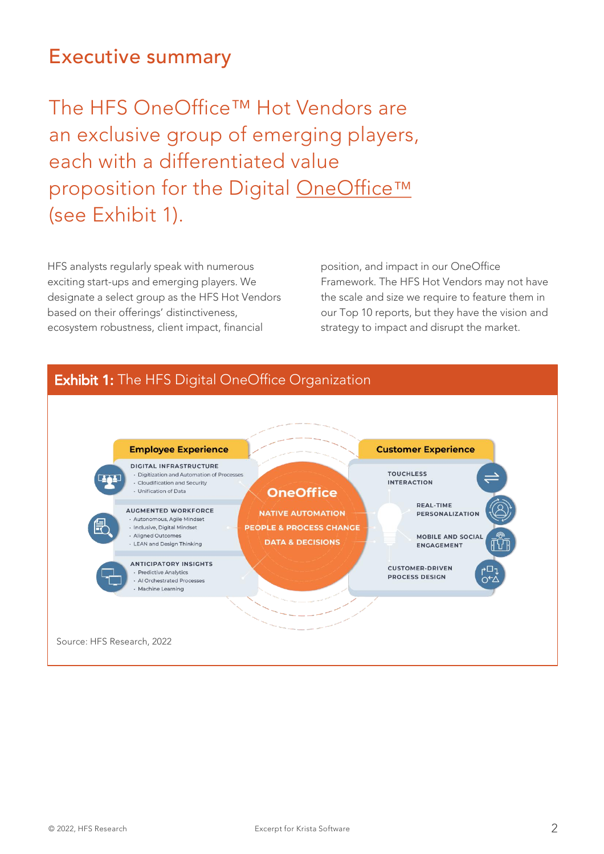### Executive summary

The HFS OneOffice™ Hot Vendors are an exclusive group of emerging players, each with a differentiated value proposition for the Digital [OneOffice](https://www.hfsresearch.com/pointsofview/Defining-the-Digital-OneOffice-Organization)™ (see Exhibit 1).

HFS analysts regularly speak with numerous exciting start-ups and emerging players. We designate a select group as the HFS Hot Vendors based on their offerings' distinctiveness, ecosystem robustness, client impact, financial

position, and impact in our OneOffice Framework. The HFS Hot Vendors may not have the scale and size we require to feature them in our Top 10 reports, but they have the vision and strategy to impact and disrupt the market.



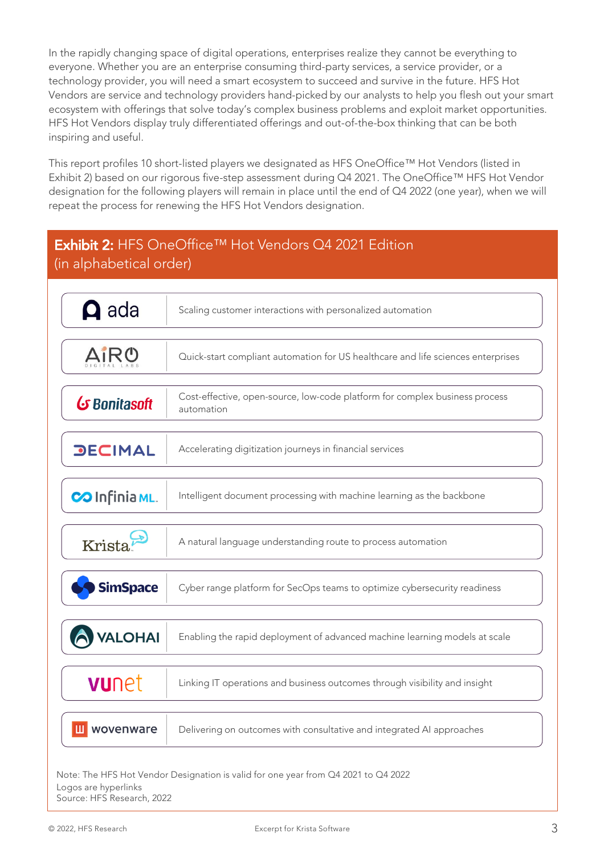In the rapidly changing space of digital operations, enterprises realize they cannot be everything to everyone. Whether you are an enterprise consuming third-party services, a service provider, or a technology provider, you will need a smart ecosystem to succeed and survive in the future. HFS Hot Vendors are service and technology providers hand-picked by our analysts to help you flesh out your smart ecosystem with offerings that solve today's complex business problems and exploit market opportunities. HFS Hot Vendors display truly differentiated offerings and out-of-the-box thinking that can be both inspiring and useful.

This report profiles 10 short-listed players we designated as HFS OneOffice™ Hot Vendors (listed in Exhibit 2) based on our rigorous five-step assessment during Q4 2021. The OneOffice™ HFS Hot Vendor designation for the following players will remain in place until the end of Q4 2022 (one year), when we will repeat the process for renewing the HFS Hot Vendors designation.

### Exhibit 2: HFS OneOffice™ Hot Vendors Q4 2021 Edition (in alphabetical order)

| $\mathbf{\Omega}$ ada | Scaling customer interactions with personalized automation                                |
|-----------------------|-------------------------------------------------------------------------------------------|
|                       | Quick-start compliant automation for US healthcare and life sciences enterprises          |
| G Bonitasoft          | Cost-effective, open-source, low-code platform for complex business process<br>automation |
| <b>DECIMAL</b>        | Accelerating digitization journeys in financial services                                  |
| COInfinia ML.         | Intelligent document processing with machine learning as the backbone                     |
| Krista.               | A natural language understanding route to process automation                              |
| <b>SimSpace</b>       | Cyber range platform for SecOps teams to optimize cybersecurity readiness                 |
| <b>VALOHAI</b>        | Enabling the rapid deployment of advanced machine learning models at scale                |
| vunet                 | Linking IT operations and business outcomes through visibility and insight                |
| wovenware             | Delivering on outcomes with consultative and integrated AI approaches                     |
|                       |                                                                                           |

Note: The HFS Hot Vendor Designation is valid for one year from Q4 2021 to Q4 2022 Logos are hyperlinks Source: HFS Research, 2022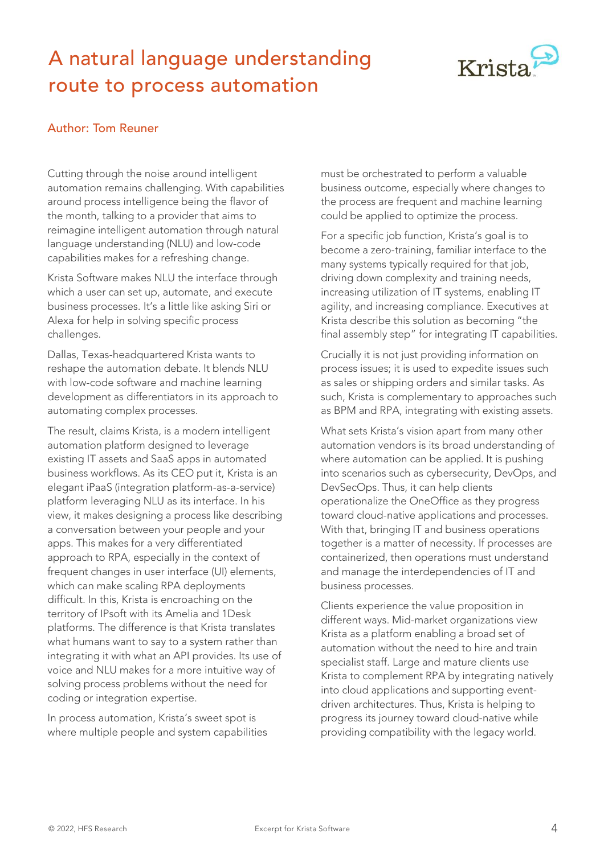## A natural language understanding route to process automation



#### Author: Tom Reuner

Cutting through the noise around intelligent automation remains challenging. With capabilities around process intelligence being the flavor of the month, talking to a provider that aims to reimagine intelligent automation through natural language understanding (NLU) and low-code capabilities makes for a refreshing change.

Krista Software makes NLU the interface through which a user can set up, automate, and execute business processes. It's a little like asking Siri or Alexa for help in solving specific process challenges.

Dallas, Texas-headquartered Krista wants to reshape the automation debate. It blends NLU with low-code software and machine learning development as differentiators in its approach to automating complex processes.

The result, claims Krista, is a modern intelligent automation platform designed to leverage existing IT assets and SaaS apps in automated business workflows. As its CEO put it, Krista is an elegant iPaaS (integration platform-as-a-service) platform leveraging NLU as its interface. In his view, it makes designing a process like describing a conversation between your people and your apps. This makes for a very differentiated approach to RPA, especially in the context of frequent changes in user interface (UI) elements, which can make scaling RPA deployments difficult. In this, Krista is encroaching on the territory of IPsoft with its Amelia and 1Desk platforms. The difference is that Krista translates what humans want to say to a system rather than integrating it with what an API provides. Its use of voice and NLU makes for a more intuitive way of solving process problems without the need for coding or integration expertise.

In process automation, Krista's sweet spot is where multiple people and system capabilities must be orchestrated to perform a valuable business outcome, especially where changes to the process are frequent and machine learning could be applied to optimize the process.

For a specific job function, Krista's goal is to become a zero-training, familiar interface to the many systems typically required for that job, driving down complexity and training needs, increasing utilization of IT systems, enabling IT agility, and increasing compliance. Executives at Krista describe this solution as becoming "the final assembly step" for integrating IT capabilities.

Crucially it is not just providing information on process issues; it is used to expedite issues such as sales or shipping orders and similar tasks. As such, Krista is complementary to approaches such as BPM and RPA, integrating with existing assets.

What sets Krista's vision apart from many other automation vendors is its broad understanding of where automation can be applied. It is pushing into scenarios such as cybersecurity, DevOps, and DevSecOps. Thus, it can help clients operationalize the OneOffice as they progress toward cloud-native applications and processes. With that, bringing IT and business operations together is a matter of necessity. If processes are containerized, then operations must understand and manage the interdependencies of IT and business processes.

Clients experience the value proposition in different ways. Mid-market organizations view Krista as a platform enabling a broad set of automation without the need to hire and train specialist staff. Large and mature clients use Krista to complement RPA by integrating natively into cloud applications and supporting eventdriven architectures. Thus, Krista is helping to progress its journey toward cloud-native while providing compatibility with the legacy world.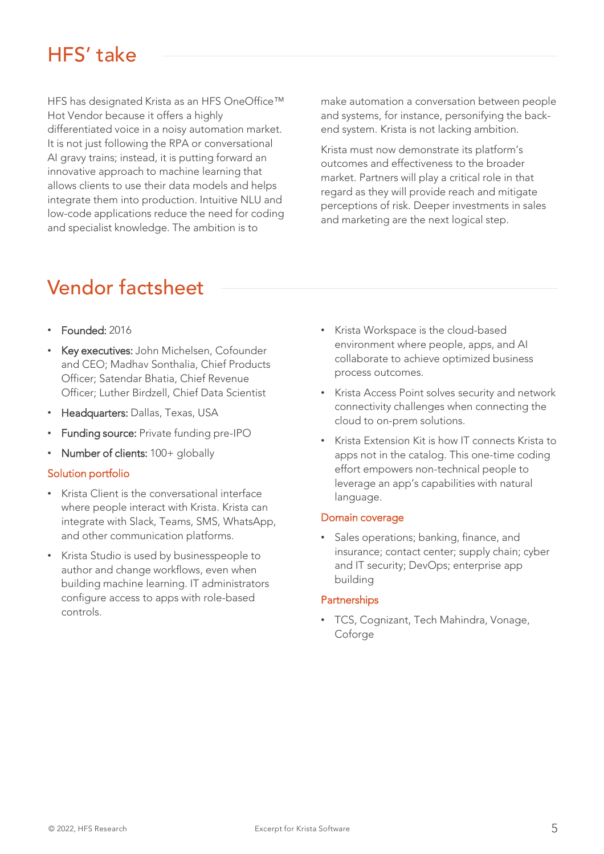### HFS' take

HFS has designated Krista as an HFS OneOffice™ Hot Vendor because it offers a highly differentiated voice in a noisy automation market. It is not just following the RPA or conversational AI gravy trains; instead, it is putting forward an innovative approach to machine learning that allows clients to use their data models and helps integrate them into production. Intuitive NLU and low-code applications reduce the need for coding and specialist knowledge. The ambition is to

and systems, for instance, personifying the backend system. Krista is not lacking ambition.

make automation a conversation between people

Krista must now demonstrate its platform's outcomes and effectiveness to the broader market. Partners will play a critical role in that regard as they will provide reach and mitigate perceptions of risk. Deeper investments in sales and marketing are the next logical step.

### Vendor factsheet

- Founded: 2016
- Key executives: John Michelsen, Cofounder and CEO; Madhav Sonthalia, Chief Products Officer; Satendar Bhatia, Chief Revenue Officer; Luther Birdzell, Chief Data Scientist
- Headquarters: Dallas, Texas, USA
- Funding source: Private funding pre-IPO
- Number of clients: 100+ globally

#### Solution portfolio

- Krista Client is the conversational interface where people interact with Krista. Krista can integrate with Slack, Teams, SMS, WhatsApp, and other communication platforms.
- Krista Studio is used by businesspeople to author and change workflows, even when building machine learning. IT administrators configure access to apps with role-based controls.
- Krista Workspace is the cloud-based environment where people, apps, and AI collaborate to achieve optimized business process outcomes.
- Krista Access Point solves security and network connectivity challenges when connecting the cloud to on-prem solutions.
- Krista Extension Kit is how IT connects Krista to apps not in the catalog. This one-time coding effort empowers non-technical people to leverage an app's capabilities with natural language.

#### Domain coverage

Sales operations; banking, finance, and insurance; contact center; supply chain; cyber and IT security; DevOps; enterprise app building

#### **Partnerships**

• TCS, Cognizant, Tech Mahindra, Vonage, Coforge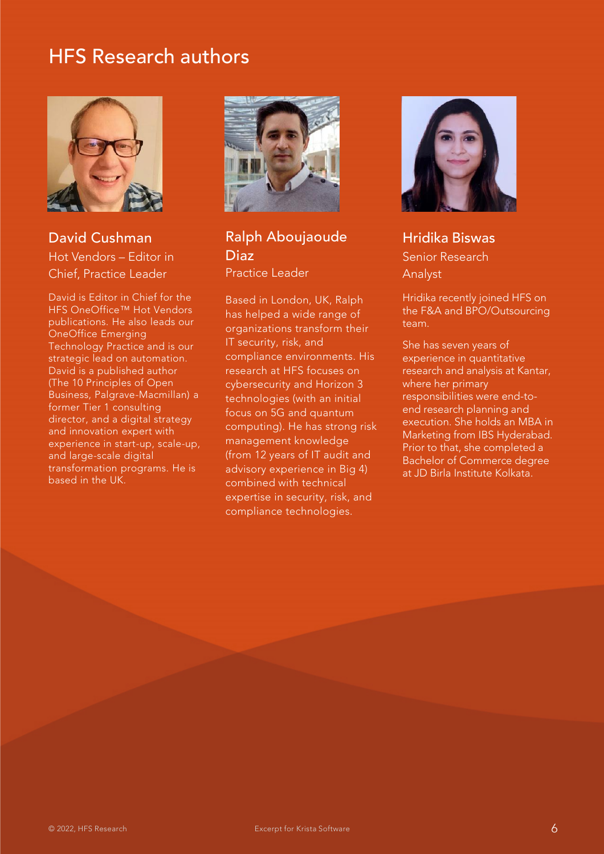

David Cushman Hot Vendors – Editor in Chief, Practice Leader

David is Editor in Chief for the HFS OneOffice™ Hot Vendors publications. He also leads our OneOffice Emerging Technology Practice and is our strategic lead on automation. David is a published author (The 10 Principles of Open Business, Palgrave-Macmillan) a former Tier 1 consulting director, and a digital strategy and innovation expert with experience in start-up, scale-up, and large-scale digital transformation programs. He is based in the UK.



Ralph Aboujaoude Diaz Practice Leader

Based in London, UK, Ralph has helped a wide range of organizations transform their IT security, risk, and compliance environments. His research at HFS focuses on cybersecurity and Horizon 3 technologies (with an initial focus on 5G and quantum computing). He has strong risk management knowledge (from 12 years of IT audit and advisory experience in Big 4) combined with technical expertise in security, risk, and compliance technologies.



Hridika Biswas Senior Research Analyst

Hridika recently joined HFS on the F&A and BPO/Outsourcing team.

She has seven years of experience in quantitative research and analysis at Kantar, where her primary responsibilities were end-toend research planning and execution. She holds an MBA in Marketing from IBS Hyderabad. Prior to that, she completed a Bachelor of Commerce degree at JD Birla Institute Kolkata.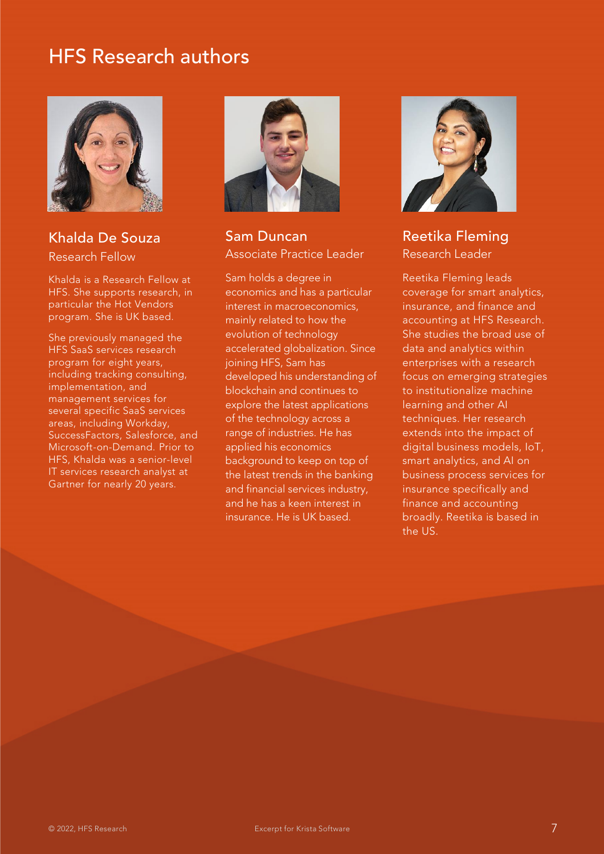

Khalda De Souza Research Fellow

Khalda is a Research Fellow at HFS. She supports research, in particular the Hot Vendors program. She is UK based.

She previously managed the HFS SaaS services research program for eight years, including tracking consulting, implementation, and management services for several specific SaaS services areas, including Workday, SuccessFactors, Salesforce, and Microsoft-on-Demand. Prior to HFS, Khalda was a senior-level IT services research analyst at Gartner for nearly 20 years.



Sam Duncan Associate Practice Leader

Sam holds a degree in economics and has a particular interest in macroeconomics, mainly related to how the evolution of technology accelerated globalization. Since joining HFS, Sam has developed his understanding of blockchain and continues to explore the latest applications of the technology across a range of industries. He has applied his economics background to keep on top of the latest trends in the banking and financial services industry, and he has a keen interest in insurance. He is UK based.



Reetika Fleming Research Leader

Reetika Fleming leads coverage for smart analytics, insurance, and finance and accounting at HFS Research. She studies the broad use of data and analytics within enterprises with a research focus on emerging strategies to institutionalize machine learning and other AI techniques. Her research extends into the impact of digital business models, IoT, smart analytics, and AI on business process services for insurance specifically and finance and accounting broadly. Reetika is based in the US.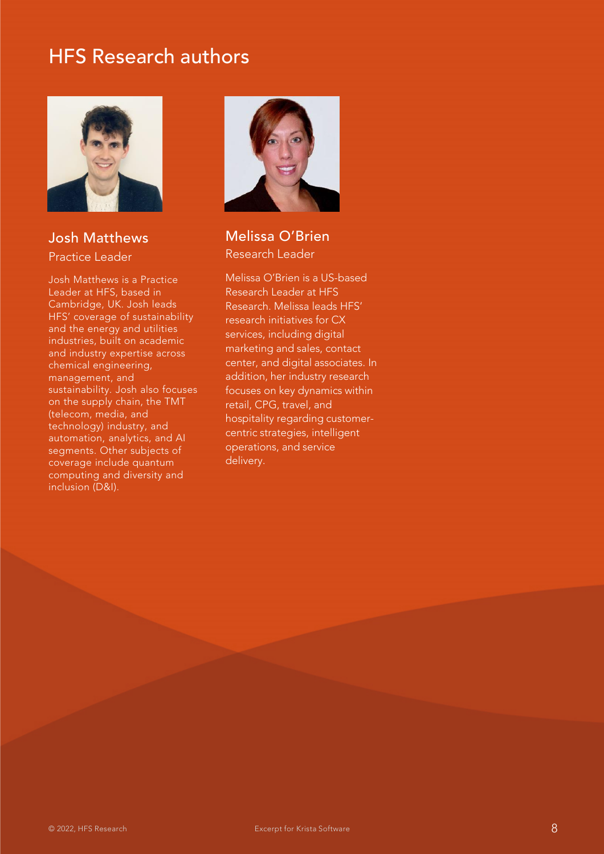

#### Josh Matthews Practice Leader

Josh Matthews is a Practice Leader at HFS, based in Cambridge, UK. Josh leads HFS' coverage of sustainability and the energy and utilities industries, built on academic and industry expertise across chemical engineering, management, and sustainability. Josh also focuses on the supply chain, the TMT (telecom, media, and technology) industry, and automation, analytics, and AI segments. Other subjects of coverage include quantum computing and diversity and inclusion (D&I).



#### Melissa O'Brien Research Leader

Melissa O'Brien is a US-based Research Leader at HFS Research. Melissa leads HFS' research initiatives for CX services, including digital marketing and sales, contact center, and digital associates. In addition, her industry research focuses on key dynamics within retail, CPG, travel, and hospitality regarding customercentric strategies, intelligent operations, and service delivery.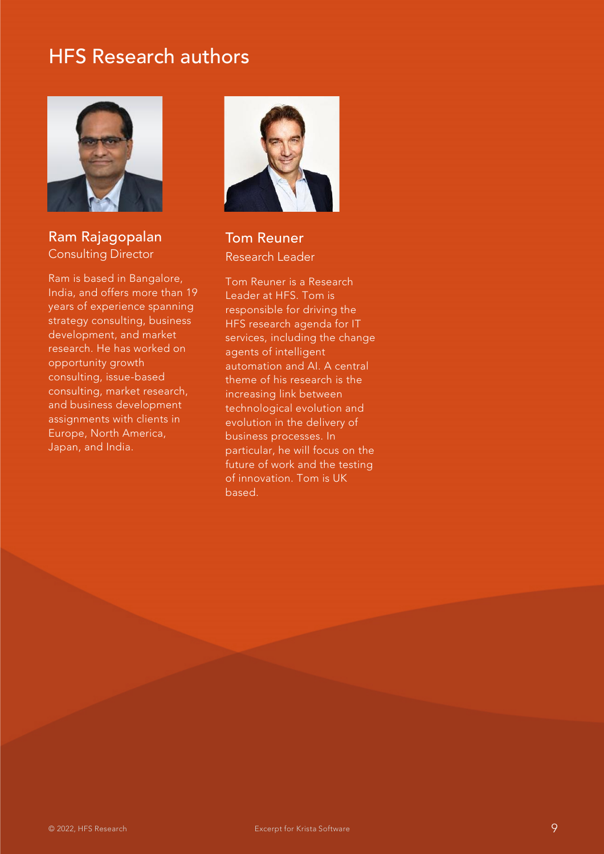

#### Ram Rajagopalan Consulting Director

Ram is based in Bangalore, India, and offers more than 19 years of experience spanning strategy consulting, business development, and market research. He has worked on opportunity growth consulting, issue-based consulting, market research, and business development assignments with clients in Europe, North America, Japan, and India.



Tom Reuner Research Leader

Tom Reuner is a Research Leader at HFS. Tom is responsible for driving the HFS research agenda for IT services, including the change agents of intelligent automation and AI. A central theme of his research is the increasing link between technological evolution and evolution in the delivery of business processes. In particular, he will focus on the future of work and the testing of innovation. Tom is UK based.